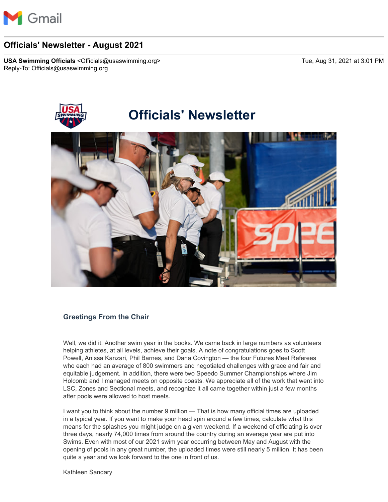

# **Officials' Newsletter - August 2021**

**USA Swimming Officials** <Officials@usaswimming.org> Tue, Aug 31, 2021 at 3:01 PM Reply-To: Officials@usaswimming.org



### **Greetings From the Chair**

Well, we did it. Another swim year in the books. We came back in large numbers as volunteers helping athletes, at all levels, achieve their goals. A note of congratulations goes to Scott Powell, Anissa Kanzari, Phil Barnes, and Dana Covington — the four Futures Meet Referees who each had an average of 800 swimmers and negotiated challenges with grace and fair and equitable judgement. In addition, there were two Speedo Summer Championships where Jim Holcomb and I managed meets on opposite coasts. We appreciate all of the work that went into LSC, Zones and Sectional meets, and recognize it all came together within just a few months after pools were allowed to host meets.

I want you to think about the number 9 million — That is how many official times are uploaded in a typical year. If you want to make your head spin around a few times, calculate what this means for the splashes you might judge on a given weekend. If a weekend of officiating is over three days, nearly 74,000 times from around the country during an average year are put into Swims. Even with most of our 2021 swim year occurring between May and August with the opening of pools in any great number, the uploaded times were still nearly 5 million. It has been quite a year and we look forward to the one in front of us.

Kathleen Sandary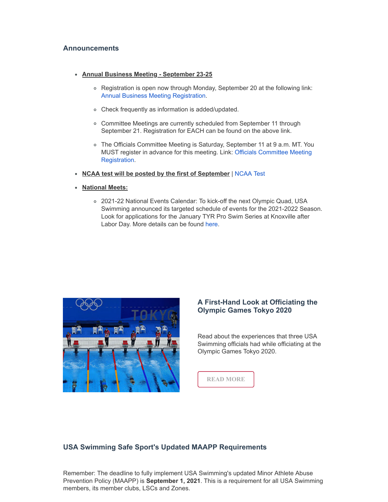#### **Announcements**

- **Annual Business Meeting September 23-25**
	- Registration is open now through Monday, September 20 at the following link: [Annual Business Meeting Registration.](http://pages.usaswimming.org/MjM2LUtDWi00OTUAAAF_PI7b3x0Du9Wl-zr0RnUfyUrS7Ae0Xxn1YifOdym_IYvFfRRkrigD_KMPZnlkmKWAuJg06DA=)
	- Check frequently as information is added/updated.
	- Committee Meetings are currently scheduled from September 11 through September 21. Registration for EACH can be found on the above link.
	- The Officials Committee Meeting is Saturday, September 11 at 9 a.m. MT. You [MUST register in advance for this meeting. Link: Officials Committee Meeting](http://pages.usaswimming.org/MjM2LUtDWi00OTUAAAF_PI7b3zx_63klxd_F9zQQJvse1uqThL4jRIMfzC9JPTw-0hyJrYonQ1mUbAVTiExcIFr5Wmc=) Registration.
- **NCAA test will be posted by the first of September** | [NCAA Test](http://pages.usaswimming.org/MjM2LUtDWi00OTUAAAF_PI7b33BJuC5QJt8e6_a6x6iwssrdYoi1Wbb0n0G2lXC1OS_xNyGHyawsFA43FkInt_yyYm0=)
- **National Meets:**
	- 2021-22 National Events Calendar: To kick-off the next Olympic Quad, USA Swimming announced its targeted schedule of events for the 2021-2022 Season. Look for applications for the January TYR Pro Swim Series at Knoxville after Labor Day. More details can be found [here.](http://pages.usaswimming.org/MjM2LUtDWi00OTUAAAF_PI7b312qUsrQpbLAbnMhe6IJbBtmVfwhpMRgx5JK87rBM9j-dgrDJC4kQIiOHEZ0qawORpM=)



## **A First-Hand Look at Officiating the Olympic Games Tokyo 2020**

Read about the experiences that three USA Swimming officials had while officiating at the Olympic Games Tokyo 2020.



# **USA Swimming Safe Sport's Updated MAAPP Requirements**

Remember: The deadline to fully implement USA Swimming's updated Minor Athlete Abuse Prevention Policy (MAAPP) is **September 1, 2021**. This is a requirement for all USA Swimming members, its member clubs, LSCs and Zones.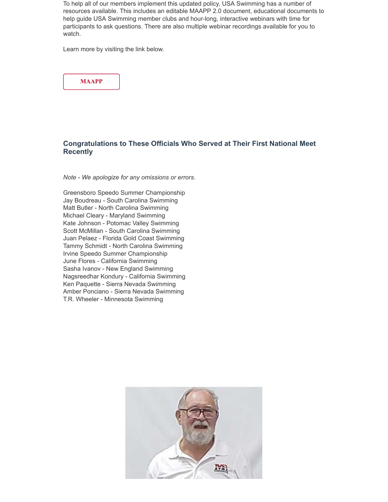To help all of our members implement this updated policy, USA Swimming has a number of resources available. This includes an editable MAAPP 2.0 document, educational documents to help guide USA Swimming member clubs and hour-long, interactive webinars with time for participants to ask questions. There are also multiple webinar recordings available for you to watch.

Learn more by visiting the link below.



# **Congratulations to These Officials Who Served at Their First National Meet Recently**

*Note - We apologize for any omissions or errors*.

Greensboro Speedo Summer Championship Jay Boudreau - South Carolina Swimming Matt Butler - North Carolina Swimming Michael Cleary - Maryland Swimming Kate Johnson - Potomac Valley Swimming Scott McMillan - South Carolina Swimming Juan Pelaez - Florida Gold Coast Swimming Tammy Schmidt - North Carolina Swimming Irvine Speedo Summer Championship June Flores - California Swimming Sasha Ivanov - New England Swimming Nagsreedhar Kondury - California Swimming Ken Paquette - Sierra Nevada Swimming Amber Ponciano - Sierra Nevada Swimming T.R. Wheeler - Minnesota Swimming